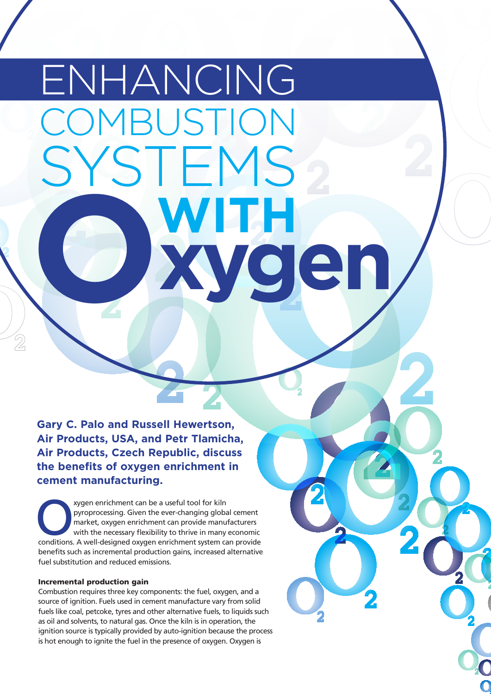# OMBUSTION YSTEMS **WITH xygen** ENHANCING **O**

**Gary C. Palo and Russell Hewertson, Air Products, USA, and Petr Tlamicha, Air Products, Czech Republic, discuss the benefits of oxygen enrichment in cement manufacturing.**

xygen enrichment can be a useful tool for kiln pyroprocessing. Given the ever-changing global cement market, oxygen enrichment can provide manufacturers with the necessary flexibility to thrive in many economic conditions. A well-designed oxygen enrichment system can provide benefits such as incremental production gains, increased alternative fuel substitution and reduced emissions.

## Incremental production gain

Combustion requires three key components: the fuel, oxygen, and a source of ignition. Fuels used in cement manufacture vary from solid fuels like coal, petcoke, tyres and other alternative fuels, to liquids such as oil and solvents, to natural gas. Once the kiln is in operation, the ignition source is typically provided by auto-ignition because the process is hot enough to ignite the fuel in the presence of oxygen. Oxygen is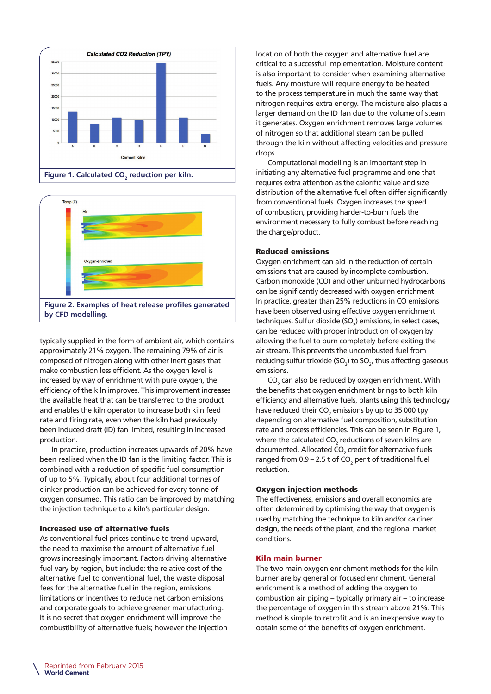





typically supplied in the form of ambient air, which contains approximately 21% oxygen. The remaining 79% of air is composed of nitrogen along with other inert gases that make combustion less efficient. As the oxygen level is increased by way of enrichment with pure oxygen, the efficiency of the kiln improves. This improvement increases the available heat that can be transferred to the product and enables the kiln operator to increase both kiln feed rate and firing rate, even when the kiln had previously been induced draft (ID) fan limited, resulting in increased production.

In practice, production increases upwards of 20% have been realised when the ID fan is the limiting factor. This is combined with a reduction of specific fuel consumption of up to 5%. Typically, about four additional tonnes of clinker production can be achieved for every tonne of oxygen consumed. This ratio can be improved by matching the injection technique to a kiln's particular design.

#### Increased use of alternative fuels

As conventional fuel prices continue to trend upward, the need to maximise the amount of alternative fuel grows increasingly important. Factors driving alternative fuel vary by region, but include: the relative cost of the alternative fuel to conventional fuel, the waste disposal fees for the alternative fuel in the region, emissions limitations or incentives to reduce net carbon emissions, and corporate goals to achieve greener manufacturing. It is no secret that oxygen enrichment will improve the combustibility of alternative fuels; however the injection location of both the oxygen and alternative fuel are critical to a successful implementation. Moisture content is also important to consider when examining alternative fuels. Any moisture will require energy to be heated to the process temperature in much the same way that nitrogen requires extra energy. The moisture also places a larger demand on the ID fan due to the volume of steam it generates. Oxygen enrichment removes large volumes of nitrogen so that additional steam can be pulled through the kiln without affecting velocities and pressure drops.

Computational modelling is an important step in initiating any alternative fuel programme and one that requires extra attention as the calorific value and size distribution of the alternative fuel often differ significantly from conventional fuels. Oxygen increases the speed of combustion, providing harder-to-burn fuels the environment necessary to fully combust before reaching the charge/product.

### Reduced emissions

Oxygen enrichment can aid in the reduction of certain emissions that are caused by incomplete combustion. Carbon monoxide (CO) and other unburned hydrocarbons can be significantly decreased with oxygen enrichment. In practice, greater than 25% reductions in CO emissions have been observed using effective oxygen enrichment techniques. Sulfur dioxide (SO<sub>2</sub>) emissions, in select cases, can be reduced with proper introduction of oxygen by allowing the fuel to burn completely before exiting the air stream. This prevents the uncombusted fuel from reducing sulfur trioxide (SO<sub>3</sub>) to SO<sub>2</sub>, thus affecting gaseous emissions.

 $\mathsf{CO}_2$  can also be reduced by oxygen enrichment. With the benefits that oxygen enrichment brings to both kiln efficiency and alternative fuels, plants using this technology have reduced their  $\mathsf{CO}_2$  emissions by up to 35 000 tpy depending on alternative fuel composition, substitution rate and process efficiencies. This can be seen in Figure 1, where the calculated CO $_{\textrm{\tiny{2}}}$  reductions of seven kilns are documented. Allocated CO $_{\textrm{\tiny{2}}}$  credit for alternative fuels ranged from  $0.9 - 2.5$  t of CO<sub>2</sub> per t of traditional fuel reduction.

#### Oxygen injection methods

The effectiveness, emissions and overall economics are often determined by optimising the way that oxygen is used by matching the technique to kiln and/or calciner design, the needs of the plant, and the regional market conditions.

## Kiln main burner

The two main oxygen enrichment methods for the kiln burner are by general or focused enrichment. General enrichment is a method of adding the oxygen to combustion air piping – typically primary air – to increase the percentage of oxygen in this stream above 21%. This method is simple to retrofit and is an inexpensive way to obtain some of the benefits of oxygen enrichment.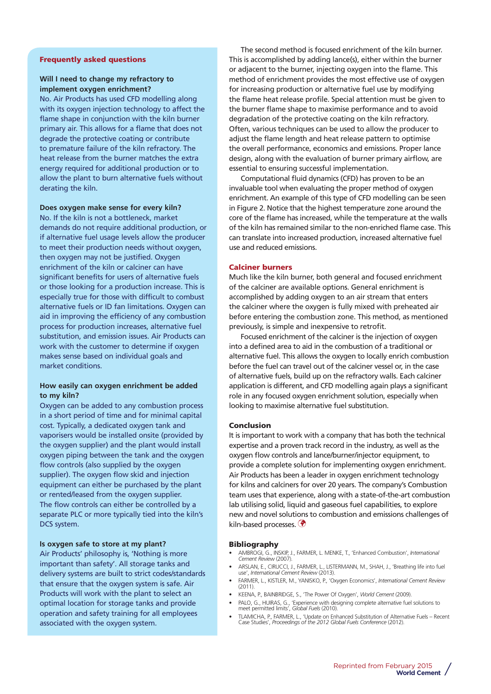## Frequently asked questions

## **Will I need to change my refractory to implement oxygen enrichment?**

No. Air Products has used CFD modelling along with its oxygen injection technology to affect the flame shape in conjunction with the kiln burner primary air. This allows for a flame that does not degrade the protective coating or contribute to premature failure of the kiln refractory. The heat release from the burner matches the extra energy required for additional production or to allow the plant to burn alternative fuels without derating the kiln.

#### **Does oxygen make sense for every kiln?**

No. If the kiln is not a bottleneck, market demands do not require additional production, or if alternative fuel usage levels allow the producer to meet their production needs without oxygen, then oxygen may not be justified. Oxygen enrichment of the kiln or calciner can have significant benefits for users of alternative fuels or those looking for a production increase. This is especially true for those with difficult to combust alternative fuels or ID fan limitations. Oxygen can aid in improving the efficiency of any combustion process for production increases, alternative fuel substitution, and emission issues. Air Products can work with the customer to determine if oxygen makes sense based on individual goals and market conditions.

#### **How easily can oxygen enrichment be added to my kiln?**

Oxygen can be added to any combustion process in a short period of time and for minimal capital cost. Typically, a dedicated oxygen tank and vaporisers would be installed onsite (provided by the oxygen supplier) and the plant would install oxygen piping between the tank and the oxygen flow controls (also supplied by the oxygen supplier). The oxygen flow skid and injection equipment can either be purchased by the plant or rented/leased from the oxygen supplier. The flow controls can either be controlled by a separate PLC or more typically tied into the kiln's DCS system.

#### **Is oxygen safe to store at my plant?**

Air Products' philosophy is, 'Nothing is more important than safety'. All storage tanks and delivery systems are built to strict codes/standards that ensure that the oxygen system is safe. Air Products will work with the plant to select an optimal location for storage tanks and provide operation and safety training for all employees associated with the oxygen system.

The second method is focused enrichment of the kiln burner. This is accomplished by adding lance(s), either within the burner or adjacent to the burner, injecting oxygen into the flame. This method of enrichment provides the most effective use of oxygen for increasing production or alternative fuel use by modifying the flame heat release profile. Special attention must be given to the burner flame shape to maximise performance and to avoid degradation of the protective coating on the kiln refractory. Often, various techniques can be used to allow the producer to adjust the flame length and heat release pattern to optimise the overall performance, economics and emissions. Proper lance design, along with the evaluation of burner primary airflow, are essential to ensuring successful implementation.

Computational fluid dynamics (CFD) has proven to be an invaluable tool when evaluating the proper method of oxygen enrichment. An example of this type of CFD modelling can be seen in Figure 2. Notice that the highest temperature zone around the core of the flame has increased, while the temperature at the walls of the kiln has remained similar to the non-enriched flame case. This can translate into increased production, increased alternative fuel use and reduced emissions.

## Calciner burners

Much like the kiln burner, both general and focused enrichment of the calciner are available options. General enrichment is accomplished by adding oxygen to an air stream that enters the calciner where the oxygen is fully mixed with preheated air before entering the combustion zone. This method, as mentioned previously, is simple and inexpensive to retrofit.

Focused enrichment of the calciner is the injection of oxygen into a defined area to aid in the combustion of a traditional or alternative fuel. This allows the oxygen to locally enrich combustion before the fuel can travel out of the calciner vessel or, in the case of alternative fuels, build up on the refractory walls. Each calciner application is different, and CFD modelling again plays a significant role in any focused oxygen enrichment solution, especially when looking to maximise alternative fuel substitution.

#### Conclusion

It is important to work with a company that has both the technical expertise and a proven track record in the industry, as well as the oxygen flow controls and lance/burner/injector equipment, to provide a complete solution for implementing oxygen enrichment. Air Products has been a leader in oxygen enrichment technology for kilns and calciners for over 20 years. The company's Combustion team uses that experience, along with a state-of-the-art combustion lab utilising solid, liquid and gaseous fuel capabilities, to explore new and novel solutions to combustion and emissions challenges of kiln-based processes.

#### Bibliography

- AMBROGI, G., INSKIP, J., FARMER, L. MENKE, T., 'Enhanced Combustion', *International Cement Review* (2007).
- ARSLAN, E., CIRUCCI, J., FARMER, L., LISTERMANN, M., SHAH, J., 'Breathing life into fuel use', *International Cement Review* (2013).
- FARMER, L., KISTLER, M., YANISKO, P., 'Oxygen Economics', *International Cement Review*  $(2011)$
- KEENA, P., BAINBRIDGE, S., 'The Power Of Oxygen', *World Cement* (2009).
- PALO, G., HUIRAS, G., 'Experience with designing complete alternative fuel solutions to meet permitted limits', *Global Fuels* (2010).
- TLAMICHA, P., FARMER, L., 'Update on Enhanced Substitution of Alternative Fuels Recent Case Studies', *Proceedings of the 2012 Global Fuels Conference* (2012).